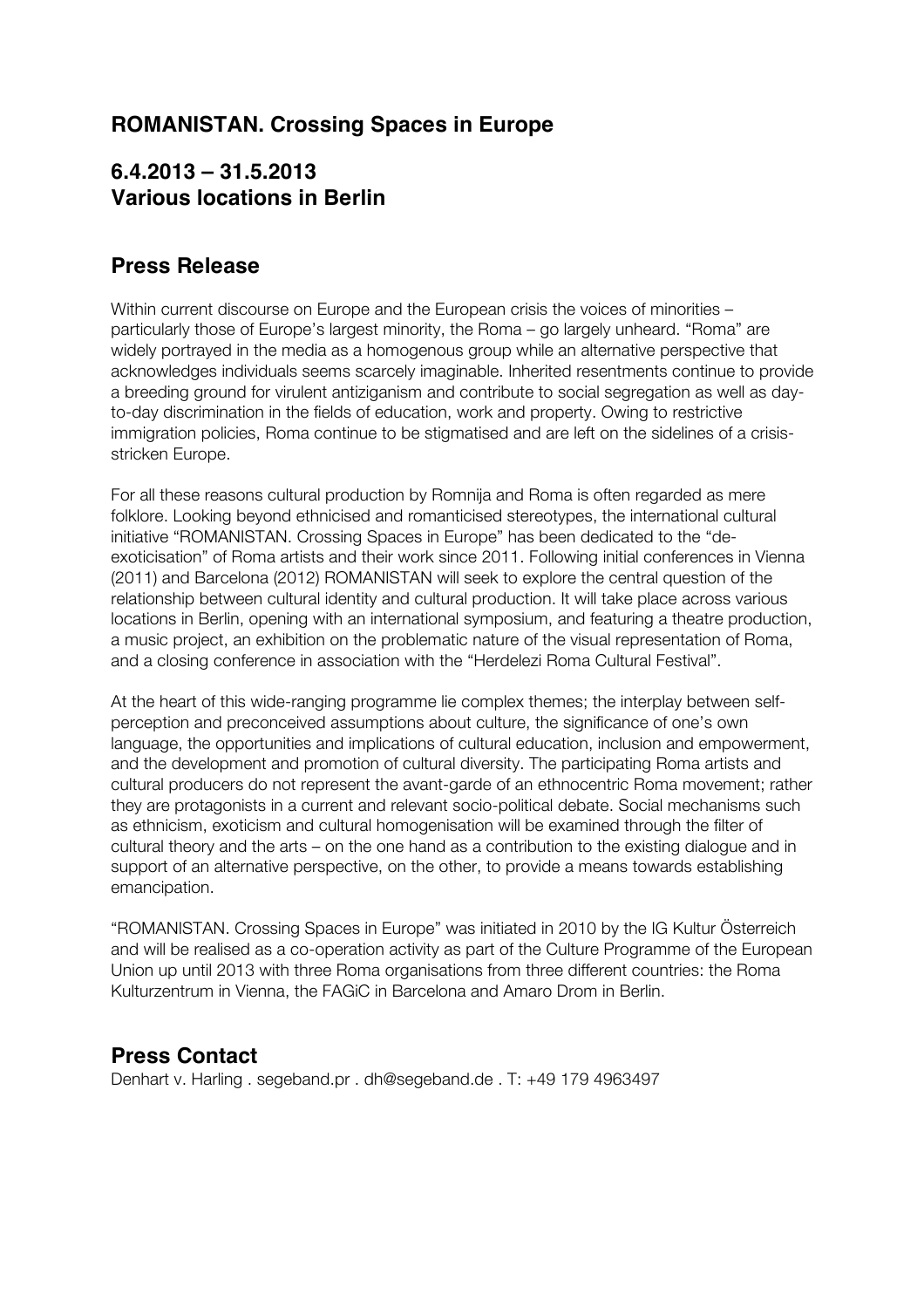# **ROMANISTAN. Crossing Spaces in Europe**

# **6.4.2013 – 31.5.2013 Various locations in Berlin**

# **Press Release**

Within current discourse on Europe and the European crisis the voices of minorities particularly those of Europe's largest minority, the Roma – go largely unheard. "Roma" are widely portrayed in the media as a homogenous group while an alternative perspective that acknowledges individuals seems scarcely imaginable. Inherited resentments continue to provide a breeding ground for virulent antiziganism and contribute to social segregation as well as dayto-day discrimination in the fields of education, work and property. Owing to restrictive immigration policies, Roma continue to be stigmatised and are left on the sidelines of a crisisstricken Europe.

For all these reasons cultural production by Romnija and Roma is often regarded as mere folklore. Looking beyond ethnicised and romanticised stereotypes, the international cultural initiative "ROMANISTAN. Crossing Spaces in Europe" has been dedicated to the "deexoticisation" of Roma artists and their work since 2011. Following initial conferences in Vienna (2011) and Barcelona (2012) ROMANISTAN will seek to explore the central question of the relationship between cultural identity and cultural production. It will take place across various locations in Berlin, opening with an international symposium, and featuring a theatre production, a music project, an exhibition on the problematic nature of the visual representation of Roma, and a closing conference in association with the "Herdelezi Roma Cultural Festival".

At the heart of this wide-ranging programme lie complex themes; the interplay between selfperception and preconceived assumptions about culture, the significance of one's own language, the opportunities and implications of cultural education, inclusion and empowerment, and the development and promotion of cultural diversity. The participating Roma artists and cultural producers do not represent the avant-garde of an ethnocentric Roma movement; rather they are protagonists in a current and relevant socio-political debate. Social mechanisms such as ethnicism, exoticism and cultural homogenisation will be examined through the filter of cultural theory and the arts – on the one hand as a contribution to the existing dialogue and in support of an alternative perspective, on the other, to provide a means towards establishing emancipation.

"ROMANISTAN. Crossing Spaces in Europe" was initiated in 2010 by the IG Kultur Österreich and will be realised as a co-operation activity as part of the Culture Programme of the European Union up until 2013 with three Roma organisations from three different countries: the Roma Kulturzentrum in Vienna, the FAGiC in Barcelona and Amaro Drom in Berlin.

# **Press Contact**

Denhart v. Harling . segeband.pr . dh@segeband.de . T: +49 179 4963497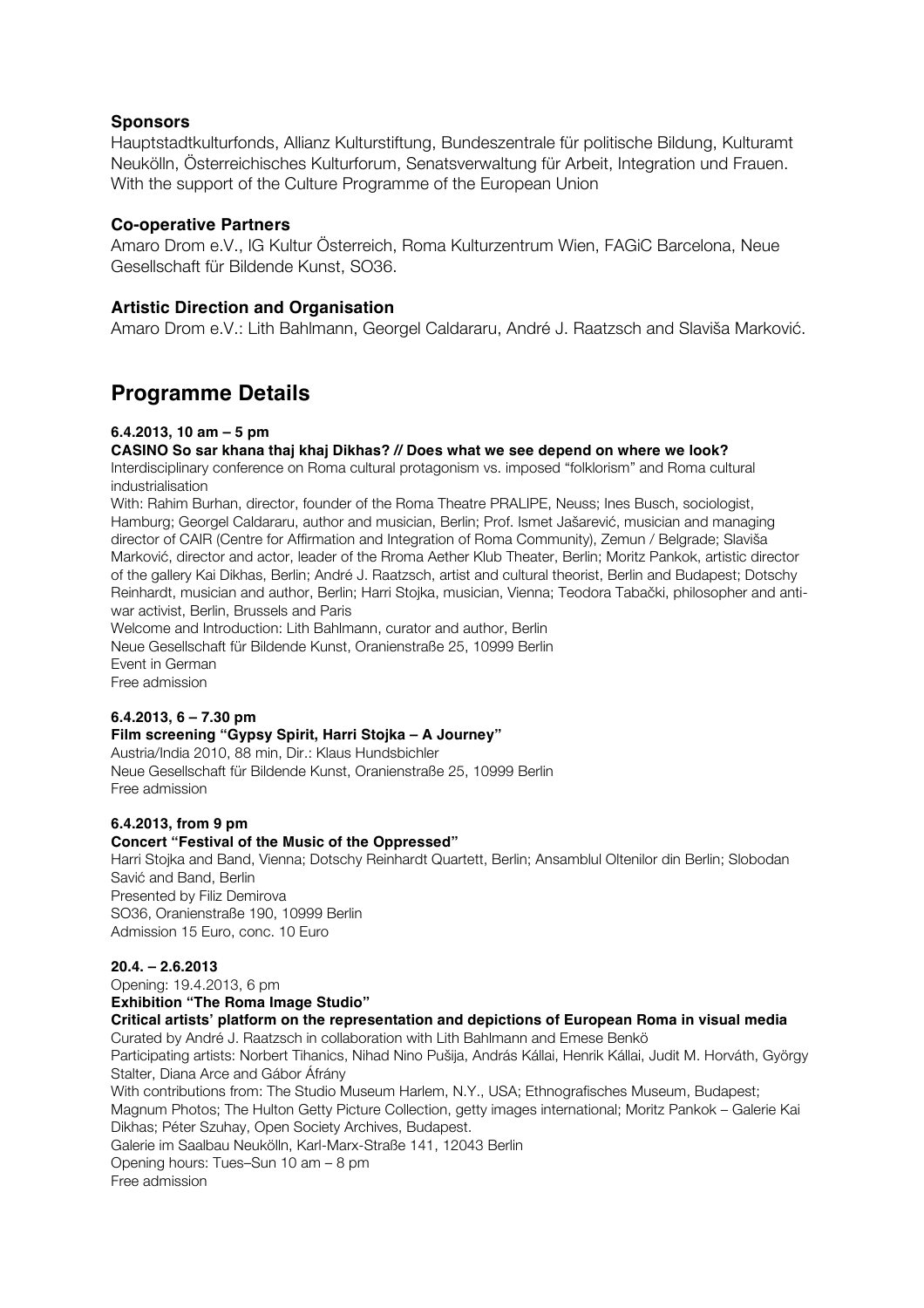# **Sponsors**

Hauptstadtkulturfonds, Allianz Kulturstiftung, Bundeszentrale für politische Bildung, Kulturamt Neukölln, Österreichisches Kulturforum, Senatsverwaltung für Arbeit, Integration und Frauen. With the support of the Culture Programme of the European Union

## **Co-operative Partners**

Amaro Drom e.V., IG Kultur Österreich, Roma Kulturzentrum Wien, FAGiC Barcelona, Neue Gesellschaft für Bildende Kunst, SO36.

## **Artistic Direction and Organisation**

Amaro Drom e.V.: Lith Bahlmann, Georgel Caldararu, André J. Raatzsch and Slaviša Marković.

# **Programme Details**

## **6.4.2013, 10 am – 5 pm**

### **CASINO So sar khana thaj khaj Dikhas? // Does what we see depend on where we look?**

Interdisciplinary conference on Roma cultural protagonism vs. imposed "folklorism" and Roma cultural industrialisation

With: Rahim Burhan, director, founder of the Roma Theatre PRALIPE, Neuss; Ines Busch, sociologist, Hamburg; Georgel Caldararu, author and musician, Berlin; Prof. Ismet Jašarević, musician and managing director of CAIR (Centre for Affirmation and Integration of Roma Community), Zemun / Belgrade; Slaviša Marković, director and actor, leader of the Rroma Aether Klub Theater, Berlin; Moritz Pankok, artistic director of the gallery Kai Dikhas, Berlin; André J. Raatzsch, artist and cultural theorist, Berlin and Budapest; Dotschy Reinhardt, musician and author, Berlin; Harri Stojka, musician, Vienna; Teodora Tabački, philosopher and antiwar activist, Berlin, Brussels and Paris

Welcome and Introduction: Lith Bahlmann, curator and author, Berlin Neue Gesellschaft für Bildende Kunst, Oranienstraße 25, 10999 Berlin Event in German Free admission

#### **6.4.2013, 6 – 7.30 pm Film screening "Gypsy Spirit, Harri Stojka – A Journey"**

Austria/India 2010, 88 min, Dir.: Klaus Hundsbichler Neue Gesellschaft für Bildende Kunst, Oranienstraße 25, 10999 Berlin Free admission

# **6.4.2013, from 9 pm**

# **Concert "Festival of the Music of the Oppressed"**

Harri Stojka and Band, Vienna; Dotschy Reinhardt Quartett, Berlin; Ansamblul Oltenilor din Berlin; Slobodan Savić and Band, Berlin Presented by Filiz Demirova SO36, Oranienstraße 190, 10999 Berlin Admission 15 Euro, conc. 10 Euro

## **20.4. – 2.6.2013**

Opening: 19.4.2013, 6 pm

**Exhibition "The Roma Image Studio"**

**Critical artists' platform on the representation and depictions of European Roma in visual media**

Curated by André J. Raatzsch in collaboration with Lith Bahlmann and Emese Benkö Participating artists: Norbert Tihanics, Nihad Nino Pušija, András Kállai, Henrik Kállai, Judit M. Horváth, György Stalter, Diana Arce and Gábor Áfrány With contributions from: The Studio Museum Harlem, N.Y., USA; Ethnografisches Museum, Budapest; Magnum Photos; The Hulton Getty Picture Collection, getty images international; Moritz Pankok – Galerie Kai Dikhas; Péter Szuhay, Open Society Archives, Budapest. Galerie im Saalbau Neukölln, Karl-Marx-Straße 141, 12043 Berlin Opening hours: Tues–Sun 10 am – 8 pm Free admission